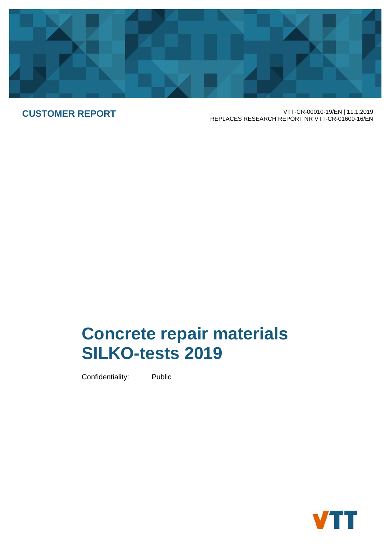

**CUSTOMER REPORT** VTT-CR-00010-19/EN | 11.1.2019 REPLACES RESEARCH REPORT NR VTT-CR-01600-16/EN

# **Concrete repair materials SILKO-tests 2019**

Confidentiality: Public

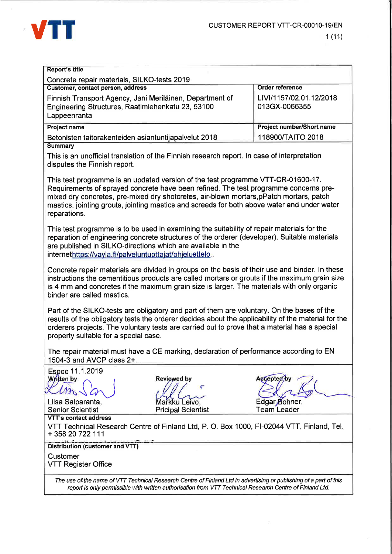

| <b>Report's title</b>                                                                                                                                                                                                                                                                                                 |                                                                                                                                                                                                                                                                                                                                                                    |                                                                                                     |  |  |  |  |  |  |  |  |
|-----------------------------------------------------------------------------------------------------------------------------------------------------------------------------------------------------------------------------------------------------------------------------------------------------------------------|--------------------------------------------------------------------------------------------------------------------------------------------------------------------------------------------------------------------------------------------------------------------------------------------------------------------------------------------------------------------|-----------------------------------------------------------------------------------------------------|--|--|--|--|--|--|--|--|
| Concrete repair materials, SILKO-tests 2019                                                                                                                                                                                                                                                                           |                                                                                                                                                                                                                                                                                                                                                                    |                                                                                                     |  |  |  |  |  |  |  |  |
| Customer, contact person, address                                                                                                                                                                                                                                                                                     |                                                                                                                                                                                                                                                                                                                                                                    | Order reference                                                                                     |  |  |  |  |  |  |  |  |
| LIVI/1157/02.01.12/2018<br>Finnish Transport Agency, Jani Meriläinen, Department of<br>Engineering Structures, Raatimiehenkatu 23, 53100<br>013GX-0066355<br>Lappeenranta                                                                                                                                             |                                                                                                                                                                                                                                                                                                                                                                    |                                                                                                     |  |  |  |  |  |  |  |  |
| Project number/Short name<br><b>Project name</b>                                                                                                                                                                                                                                                                      |                                                                                                                                                                                                                                                                                                                                                                    |                                                                                                     |  |  |  |  |  |  |  |  |
| Betonisten taitorakenteiden asiantuntijapalvelut 2018                                                                                                                                                                                                                                                                 |                                                                                                                                                                                                                                                                                                                                                                    | 118900/TAITO 2018                                                                                   |  |  |  |  |  |  |  |  |
| <b>Summary</b>                                                                                                                                                                                                                                                                                                        |                                                                                                                                                                                                                                                                                                                                                                    |                                                                                                     |  |  |  |  |  |  |  |  |
| disputes the Finnish report.                                                                                                                                                                                                                                                                                          | This is an unofficial translation of the Finnish research report. In case of interpretation                                                                                                                                                                                                                                                                        |                                                                                                     |  |  |  |  |  |  |  |  |
| reparations.                                                                                                                                                                                                                                                                                                          | This test programme is an updated version of the test programme VTT-CR-01600-17.<br>Requirements of sprayed concrete have been refined. The test programme concerns pre-<br>mixed dry concretes, pre-mixed dry shotcretes, air-blown mortars, pPatch mortars, patch<br>mastics, jointing grouts, jointing mastics and screeds for both above water and under water |                                                                                                     |  |  |  |  |  |  |  |  |
| This test programme is to be used in examining the suitability of repair materials for the<br>reparation of engineering concrete structures of the orderer (developer). Suitable materials<br>are published in SILKO-directions which are available in the<br>internethttps://vayla.fi/palveluntuottajat/ohjeluettelo |                                                                                                                                                                                                                                                                                                                                                                    |                                                                                                     |  |  |  |  |  |  |  |  |
| binder are called mastics.                                                                                                                                                                                                                                                                                            | Concrete repair materials are divided in groups on the basis of their use and binder. In these<br>is 4 mm and concretes if the maximum grain size is larger. The materials with only organic                                                                                                                                                                       | instructions the cementitious products are called mortars or grouts if the maximum grain size       |  |  |  |  |  |  |  |  |
| property suitable for a special case.                                                                                                                                                                                                                                                                                 | Part of the SILKO-tests are obligatory and part of them are voluntary. On the bases of the<br>orderers projects. The voluntary tests are carried out to prove that a material has a special                                                                                                                                                                        | results of the obligatory tests the orderer decides about the applicability of the material for the |  |  |  |  |  |  |  |  |
| 1504-3 and AVCP class 2+.                                                                                                                                                                                                                                                                                             | The repair material must have a CE marking, declaration of performance according to EN                                                                                                                                                                                                                                                                             |                                                                                                     |  |  |  |  |  |  |  |  |
| Espoo 11.1.2019<br>Written by<br>Liisa Salparanta,<br><b>Senior Scientist</b>                                                                                                                                                                                                                                         | <b>Reviewed by</b><br>C<br>Markku Leivo,<br><b>Pricipal Scientist</b>                                                                                                                                                                                                                                                                                              | Accepted by<br>Edgar Bohner,<br><b>Team Leader</b>                                                  |  |  |  |  |  |  |  |  |

VTT's contact address VTT Technical Research Centre of Finland Ltd, P. O. Box 1000, FI-02044 VTT, Finland, Tel. + 358 20 722 111

Distribution (customer and VTT)

Customer **VTT Register Office** 

> The use of the name of VTT Technical Research Centre of Finland Ltd in advertising or publishing of a part of this report is only permissible with written authorisation from VTT Technical Research Centre of Finland Ltd.

> > $\tau$  :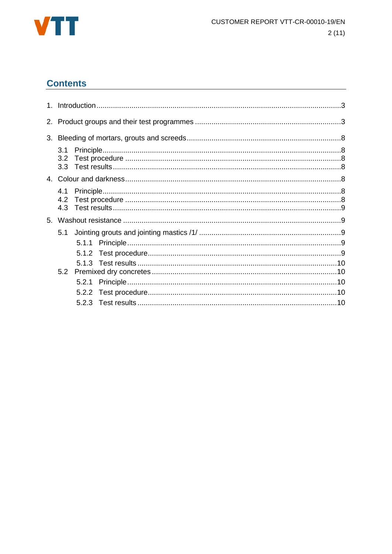

# **Contents**

| 3.2 <sub>2</sub> |  |  |  |  |  |  |  |  |
|------------------|--|--|--|--|--|--|--|--|
| 3.3 <sub>1</sub> |  |  |  |  |  |  |  |  |
|                  |  |  |  |  |  |  |  |  |
| 4.1              |  |  |  |  |  |  |  |  |
| 4.2              |  |  |  |  |  |  |  |  |
| 4.3              |  |  |  |  |  |  |  |  |
|                  |  |  |  |  |  |  |  |  |
| 5.1              |  |  |  |  |  |  |  |  |
|                  |  |  |  |  |  |  |  |  |
|                  |  |  |  |  |  |  |  |  |
|                  |  |  |  |  |  |  |  |  |
|                  |  |  |  |  |  |  |  |  |
|                  |  |  |  |  |  |  |  |  |
|                  |  |  |  |  |  |  |  |  |
|                  |  |  |  |  |  |  |  |  |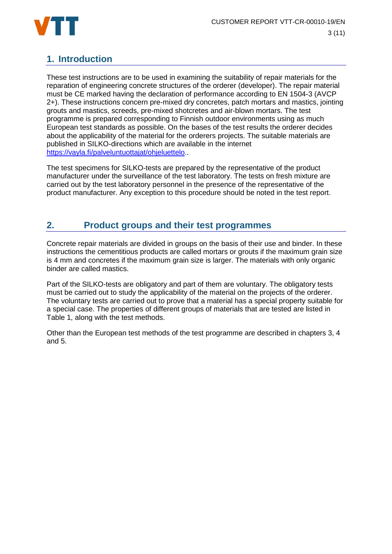

# **1. Introduction**

These test instructions are to be used in examining the suitability of repair materials for the reparation of engineering concrete structures of the orderer (developer). The repair material must be CE marked having the declaration of performance according to EN 1504-3 (AVCP 2+). These instructions concern pre-mixed dry concretes, patch mortars and mastics, jointing grouts and mastics, screeds, pre-mixed shotcretes and air-blown mortars. The test programme is prepared corresponding to Finnish outdoor environments using as much European test standards as possible. On the bases of the test results the orderer decides about the applicability of the material for the orderers projects. The suitable materials are published in SILKO-directions which are available in the internet https://vayla.fi/palveluntuottajat/ohieluettelo..

The test specimens for SILKO-tests are prepared by the representative of the product manufacturer under the surveillance of the test laboratory. The tests on fresh mixture are carried out by the test laboratory personnel in the presence of the representative of the product manufacturer. Any exception to this procedure should be noted in the test report.

# **2. Product groups and their test programmes**

Concrete repair materials are divided in groups on the basis of their use and binder. In these instructions the cementitious products are called mortars or grouts if the maximum grain size is 4 mm and concretes if the maximum grain size is larger. The materials with only organic binder are called mastics.

Part of the SILKO-tests are obligatory and part of them are voluntary. The obligatory tests must be carried out to study the applicability of the material on the projects of the orderer. The voluntary tests are carried out to prove that a material has a special property suitable for a special case. The properties of different groups of materials that are tested are listed in Table 1, along with the test methods.

Other than the European test methods of the test programme are described in chapters 3, 4 and 5.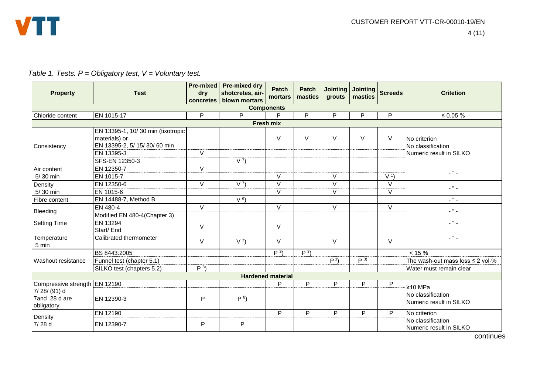|  | Table 1. Tests. $P =$ Obligatory test, $V =$ Voluntary test. |  |
|--|--------------------------------------------------------------|--|
|--|--------------------------------------------------------------|--|

| <b>Property</b>                            | <b>Test</b>                                                                                       | <b>Pre-mixed</b><br>dry<br>concretes | <b>Pre-mixed dry</b><br>shotcretes, air-<br>blown mortars | Patch<br>mortars         | Patch<br>mastics | <b>Jointing</b><br>grouts | <b>Jointing</b><br>mastics | <b>Screeds</b>   | <b>Critetion</b>                                             |  |
|--------------------------------------------|---------------------------------------------------------------------------------------------------|--------------------------------------|-----------------------------------------------------------|--------------------------|------------------|---------------------------|----------------------------|------------------|--------------------------------------------------------------|--|
| <b>Components</b>                          |                                                                                                   |                                      |                                                           |                          |                  |                           |                            |                  |                                                              |  |
| Chloride content                           | EN 1015-17                                                                                        | P                                    | P                                                         | P                        | P                | P                         | P                          | P                | ≤ 0.05 $%$                                                   |  |
| <b>Fresh mix</b>                           |                                                                                                   |                                      |                                                           |                          |                  |                           |                            |                  |                                                              |  |
| Consistency                                | EN 13395-1, 10/30 min (tixotropic<br>materials) or<br>EN 13395-2, 5/ 15/ 30/ 60 min<br>EN 13395-3 | V                                    |                                                           | $\vee$                   | $\vee$           | $\vee$                    | $\vee$                     | $\vee$           | No criterion<br>No classification<br>Numeric result in SILKO |  |
|                                            | SFS-EN 12350-3                                                                                    |                                      | V <sup>7</sup>                                            |                          |                  |                           |                            |                  |                                                              |  |
| Air content<br>$5/30$ min                  | EN 12350-7<br>EN 1015-7                                                                           | $\vee$                               |                                                           | $\vee$                   |                  | V                         |                            | V <sup>1</sup>   | $ \frac{1}{2}$ $-$                                           |  |
| Density<br>5/30 min                        | EN 12350-6<br>EN 1015-6                                                                           | $\vee$                               | V <sup>7</sup>                                            | $\vee$<br>$\vee$         |                  | $\vee$<br>V               |                            | $\vee$<br>$\vee$ | $ \frac{1}{2}$ $-$                                           |  |
| Fibre content                              | EN 14488-7, Method B                                                                              |                                      | V <sup>6</sup>                                            |                          |                  |                           |                            |                  | $ \frac{1}{2}$ $-$                                           |  |
| Bleeding                                   | EN 480-4<br>Modified EN 480-4(Chapter 3)                                                          | $\vee$                               |                                                           | $\vee$                   |                  | $\vee$                    |                            | V                | $\Box$ " $\Box$                                              |  |
| <b>Setting Time</b>                        | EN 13294<br>Start/ End                                                                            | V                                    |                                                           | $\vee$                   |                  |                           |                            |                  | $\overline{\phantom{a}}$                                     |  |
| Temperature<br>5 min                       | Calibrated thermometer                                                                            | V                                    | V <sup>7</sup>                                            | $\vee$                   |                  | V                         |                            | V                | $-$ " $-$                                                    |  |
|                                            | BS 8443:2005                                                                                      |                                      |                                                           | P <sup>3</sup>           | P <sup>3</sup>   |                           |                            |                  | $< 15 \%$                                                    |  |
| Washout resistance                         | Funnel test (chapter 5.1)                                                                         |                                      |                                                           |                          |                  | P <sup>3</sup>            | $P^{3}$                    |                  | The wash-out mass loss $\leq 2$ vol-%                        |  |
|                                            | SILKO test (chapters 5.2)                                                                         | $P^{3}$                              |                                                           |                          |                  |                           |                            |                  | Water must remain clear                                      |  |
|                                            |                                                                                                   |                                      |                                                           | <b>Hardened material</b> |                  |                           |                            |                  |                                                              |  |
| Compressive strength EN 12190              |                                                                                                   |                                      |                                                           | P                        | P                | P                         | P                          | P                | $≥10$ MPa                                                    |  |
| 7/28/(91) d<br>7and 28 d are<br>obligatory | EN 12390-3                                                                                        | P                                    | P <sup>8</sup>                                            |                          |                  |                           |                            |                  | No classification<br>Numeric result in SILKO                 |  |
| Density                                    | EN 12190                                                                                          |                                      |                                                           | P                        | P                | P                         | P                          | P                | No criterion                                                 |  |
| 7/28 d                                     | EN 12390-7                                                                                        | P                                    | P                                                         |                          |                  |                           |                            |                  | No classification<br>Numeric result in SILKO                 |  |

**continues**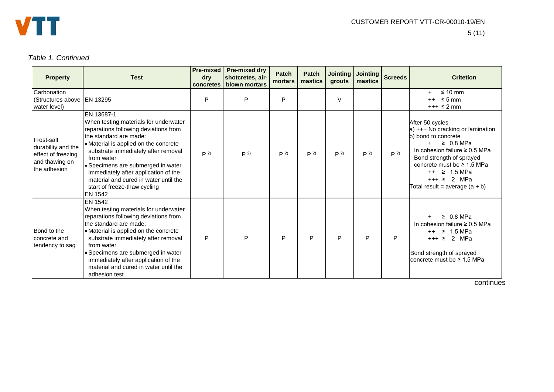

#### *Table 1. Continued*

| <b>Property</b>                                                                            | <b>Test</b>                                                                                                                                                                                                                                                                                                                                                                                   | <b>Pre-mixed</b><br>dry<br>concretes | <b>Pre-mixed dry</b><br>shotcretes, air-<br>blown mortars | <b>Patch</b><br>mortars | Patch<br>mastics | <b>Jointing</b><br>grouts | <b>Jointing</b><br>mastics | <b>Screeds</b> | <b>Critetion</b>                                                                                                                                                                                                                                                                       |
|--------------------------------------------------------------------------------------------|-----------------------------------------------------------------------------------------------------------------------------------------------------------------------------------------------------------------------------------------------------------------------------------------------------------------------------------------------------------------------------------------------|--------------------------------------|-----------------------------------------------------------|-------------------------|------------------|---------------------------|----------------------------|----------------|----------------------------------------------------------------------------------------------------------------------------------------------------------------------------------------------------------------------------------------------------------------------------------------|
| Carbonation<br>(Structures above   EN 13295<br>water level)                                |                                                                                                                                                                                                                                                                                                                                                                                               | P                                    | P                                                         | P                       |                  | $\vee$                    |                            |                | $\leq 10$ mm<br>$+$<br>$++$ $\leq$ 5 mm<br>$+++$ $\leq$ 2 mm                                                                                                                                                                                                                           |
| l Frost-salt<br>durability and the<br>effect of freezing<br>and thawing on<br>the adhesion | EN 13687-1<br>When testing materials for underwater<br>reparations following deviations from<br>the standard are made:<br>• Material is applied on the concrete<br>substrate immediately after removal<br>from water<br>· Specimens are submerged in water<br>immediately after application of the<br>material and cured in water until the<br>start of freeze-thaw cycling<br><b>EN 1542</b> | P <sup>2</sup>                       | P <sup>2</sup>                                            | P <sup>2</sup>          | P <sup>2</sup>   | P <sup>2</sup>            | P <sup>2</sup>             | P <sup>2</sup> | After 50 cycles<br>a) +++ No cracking or lamination<br>b) bond to concrete<br>$\geq 0.8$ MPa<br>In cohesion failure $\geq 0.5$ MPa<br>Bond strength of sprayed<br>concrete must be $\geq 1.5$ MPa<br>$++ \geq 1.5 \text{ MPa}$<br>$+++ \geq 2$ MPa<br>Total result = average $(a + b)$ |
| Bond to the<br>concrete and<br>tendency to sag                                             | <b>EN 1542</b><br>When testing materials for underwater<br>reparations following deviations from<br>the standard are made:<br>• Material is applied on the concrete<br>substrate immediately after removal<br>from water<br>· Specimens are submerged in water<br>immediately after application of the<br>material and cured in water until the<br>adhesion test                              | P                                    | P                                                         | P                       | P                | P                         | P                          | P              | $\geq 0.8$ MPa<br>In cohesion failure $\geq 0.5$ MPa<br>$\geq 1.5$ MPa<br>$^{\mathrm{+}}$<br>$+++ \geq 2$ MPa<br>Bond strength of sprayed<br>concrete must be $\geq 1.5$ MPa                                                                                                           |

**continues**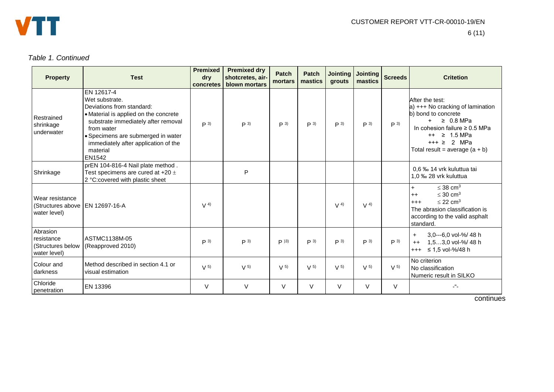

#### *Table 1. Continued*

| <b>Property</b>                                             | <b>Test</b>                                                                                                                                                                                                                                                 | <b>Premixed</b><br>dry<br>concretes | <b>Premixed dry</b><br>shotcretes, air-<br>blown mortars | <b>Patch</b><br>mortars | <b>Patch</b><br>mastics | <b>Jointing</b><br>grouts | <b>Jointing</b><br>mastics | <b>Screeds</b> | <b>Critetion</b>                                                                                                                                                                                                               |
|-------------------------------------------------------------|-------------------------------------------------------------------------------------------------------------------------------------------------------------------------------------------------------------------------------------------------------------|-------------------------------------|----------------------------------------------------------|-------------------------|-------------------------|---------------------------|----------------------------|----------------|--------------------------------------------------------------------------------------------------------------------------------------------------------------------------------------------------------------------------------|
| Restrained<br>shrinkage<br>underwater                       | EN 12617-4<br>Wet substrate.<br>Deviations from standard:<br>• Material is applied on the concrete<br>substrate immediately after removal<br>from water<br>· Specimens are submerged in water<br>immediately after application of the<br>material<br>EN1542 | P <sup>3</sup>                      | P <sup>3</sup>                                           | $P^{3}$                 | P <sup>3</sup>          | P <sup>3</sup>            | P <sup>3</sup>             | P <sup>3</sup> | After the test:<br>a) +++ No cracking of lamination<br>b) bond to concrete<br>$\geq 0.8$ MPa<br>$+$<br>In cohesion failure $\geq 0.5$ MPa<br>$++ \geq 1.5 \text{ MPa}$<br>$+++ \geq 2$ MPa<br>Total result = average $(a + b)$ |
| Shrinkage                                                   | prEN 104-816-4 Nail plate method.<br>Test specimens are cured at +20 $\pm$<br>2 °C: covered with plastic sheet                                                                                                                                              |                                     | P                                                        |                         |                         |                           |                            |                | 0,6 ‰ 14 vrk kuluttua tai<br>1,0 ‰ 28 vrk kuluttua                                                                                                                                                                             |
| Wear resistance<br>(Structures above<br>water level)        | EN 12697-16-A                                                                                                                                                                                                                                               | V <sup>4</sup>                      |                                                          |                         |                         | V <sup>4</sup>            | V <sup>4</sup>             |                | $\leq$ 38 cm <sup>3</sup><br>$\ddot{}$<br>$\leq 30$ cm <sup>3</sup><br>$++$<br>$\leq$ 22 cm <sup>3</sup><br>$+++$<br>The abrasion classification is<br>according to the valid asphalt<br>standard.                             |
| Abrasion<br>resistance<br>(Structures below<br>water level) | ASTMC1138M-05<br>(Reapproved 2010)                                                                                                                                                                                                                          | P <sup>3</sup>                      | P <sup>3</sup>                                           | $P$ )3)                 | P <sup>3</sup>          | P <sup>3</sup>            | P <sup>3</sup>             | P <sup>3</sup> | 3,0---6,0 vol-%/48 h<br>$+$<br>1,53,0 vol-%/ 48 h<br>$++$<br>≤ 1,5 vol-%/48 h<br>$^{+++}$                                                                                                                                      |
| Colour and<br>darkness                                      | Method described in section 4.1 or<br>visual estimation                                                                                                                                                                                                     | V <sub>5</sub>                      | V <sub>5</sub>                                           | V <sub>5</sub>          | V <sub>5</sub>          | V <sub>5</sub>            | V <sub>5</sub>             | V <sub>5</sub> | No criterion<br>No classification<br>l Numeric result in SILKO                                                                                                                                                                 |
| Chloride<br>penetration                                     | EN 13396                                                                                                                                                                                                                                                    | $\vee$                              | $\vee$                                                   | $\vee$                  | $\vee$                  | $\vee$                    | V                          | $\vee$         | $-$ <sup>66</sup> $-$                                                                                                                                                                                                          |

continues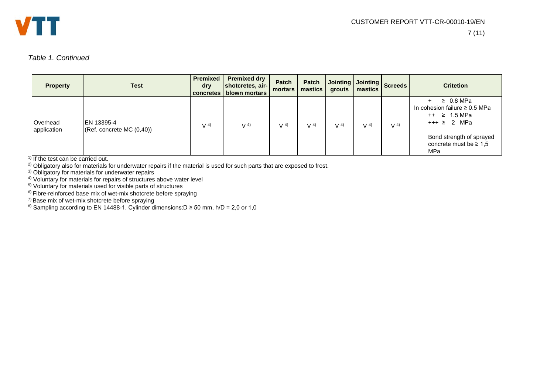

#### *Table 1. Continued*

| <b>Property</b>         | <b>Test</b>                             | <b>Premixed</b><br>dry<br>concretes | <b>Premixed dry</b><br>shotcretes, air-<br>blown mortars | <b>Patch</b><br>mortars | Patch<br>mastics | Jointing Jointing Screeds<br>grouts | mastics        |                | <b>Critetion</b>                                                                                                                                                        |
|-------------------------|-----------------------------------------|-------------------------------------|----------------------------------------------------------|-------------------------|------------------|-------------------------------------|----------------|----------------|-------------------------------------------------------------------------------------------------------------------------------------------------------------------------|
| Overhead<br>application | EN 13395-4<br>(Ref. concrete MC (0,40)) | V <sup>4</sup>                      | V <sup>4</sup>                                           | V <sup>4</sup>          | V <sup>4</sup>   | V <sup>4</sup>                      | V <sup>4</sup> | V <sup>4</sup> | $\geq 0.8$ MPa<br>In cohesion failure $\geq 0.5$ MPa<br>$++ \geq 1.5 \text{ MPa}$<br>$+++ \geq 2$ MPa<br>Bond strength of sprayed<br>concrete must be $\geq 1.5$<br>MPa |

 $1)$  If the test can be carried out.

<sup>2)</sup> Obligatory also for materials for underwater repairs if the material is used for such parts that are exposed to frost.

<sup>3)</sup> Obligatory for materials for underwater repairs

<sup>4)</sup> Voluntary for materials for repairs of structures above water level

<sup>5)</sup> Voluntary for materials used for visible parts of structures

<sup>6)</sup> Fibre-reinforced base mix of wet-mix shotcrete before spraying

<sup>7)</sup> Base mix of wet-mix shotcrete before spraying

8) Sampling according to EN 14488-1. Cylinder dimensions:D ≥ 50 mm, h/D = 2,0 or 1,0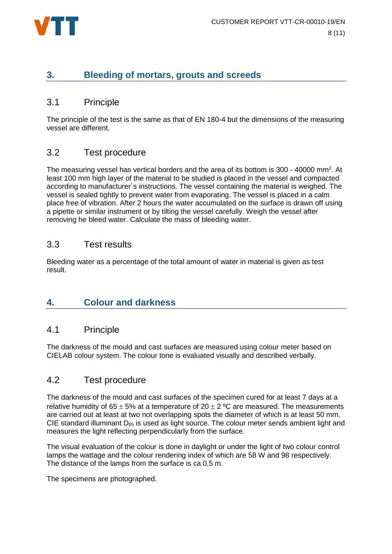

# **3. Bleeding of mortars, grouts and screeds**

#### 3.1 Principle

The principle of the test is the same as that of EN 180-4 but the dimensions of the measuring vessel are different.

#### 3.2 Test procedure

The measuring vessel has vertical borders and the area of its bottom is 300 - 40000 mm<sup>2</sup>. At least 100 mm high layer of the material to be studied is placed in the vessel and compacted according to manufacturer´s instructions. The vessel containing the material is weighed. The vessel is sealed tightly to prevent water from evaporating. The vessel is placed in a calm place free of vibration. After 2 hours the water accumulated on the surface is drawn off using a pipette or similar instrument or by tilting the vessel carefully. Weigh the vessel after removing he bleed water. Calculate the mass of bleeding water.

#### 3.3 Test results

Bleeding water as a percentage of the total amount of water in material is given as test result.

# **4. Colour and darkness**

#### 4.1 Principle

The darkness of the mould and cast surfaces are measured using colour meter based on CIELAB colour system. The colour tone is evaluated visually and described verbally.

# 4.2 Test procedure

The darkness of the mould and cast surfaces of the specimen cured for at least 7 days at a relative humidity of 65  $\pm$  5% at a temperature of 20  $\pm$  2 °C are measured. The measurements are carried out at least at two not overlapping spots the diameter of which is at least 50 mm. CIE standard illuminant  $D_{65}$  is used as light source. The colour meter sends ambient light and measures the light reflecting perpendicularly from the surface.

The visual evaluation of the colour is done in daylight or under the light of two colour control lamps the wattage and the colour rendering index of which are 58 W and 98 respectively. The distance of the lamps from the surface is ca 0,5 m.

The specimens are photographed.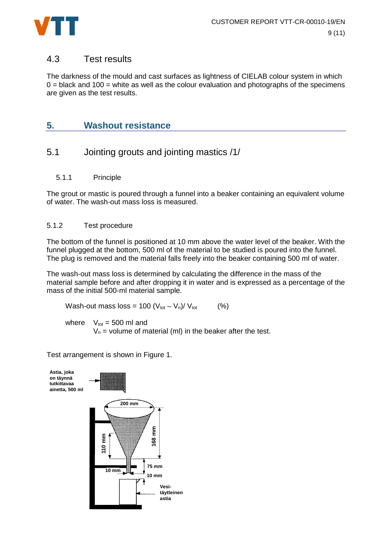

#### 4.3 Test results

The darkness of the mould and cast surfaces as lightness of CIELAB colour system in which  $0 =$  black and 100 = white as well as the colour evaluation and photographs of the specimens are given as the test results.

# **5. Washout resistance**

# 5.1 Jointing grouts and jointing mastics /1/

5.1.1 Principle

The grout or mastic is poured through a funnel into a beaker containing an equivalent volume of water. The wash-out mass loss is measured.

#### 5.1.2 Test procedure

The bottom of the funnel is positioned at 10 mm above the water level of the beaker. With the funnel plugged at the bottom, 500 ml of the material to be studied is poured into the funnel. The plug is removed and the material falls freely into the beaker containing 500 ml of water.

The wash-out mass loss is determined by calculating the difference in the mass of the material sample before and after dropping it in water and is expressed as a percentage of the mass of the initial 500-ml material sample.

Wash-out mass  $loss = 100 (V_{tot} - V_n)/V_{tot}$  (%)

where  $V_{\text{tot}} = 500$  ml and

 $V_n$  = volume of material (ml) in the beaker after the test.

Test arrangement is shown in Figure 1.

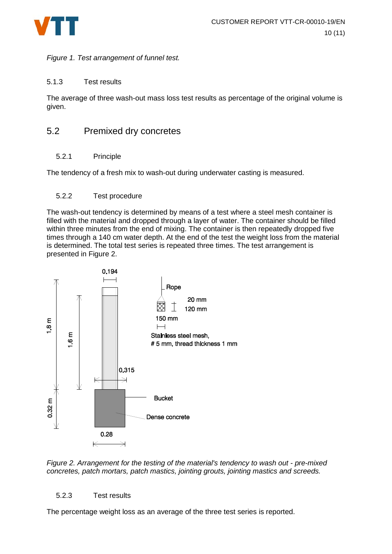

*Figure 1. Test arrangement of funnel test.*

#### 5.1.3 Test results

The average of three wash-out mass loss test results as percentage of the original volume is given.

# 5.2 Premixed dry concretes

#### 5.2.1 Principle

The tendency of a fresh mix to wash-out during underwater casting is measured.

#### 5.2.2 Test procedure

The wash-out tendency is determined by means of a test where a steel mesh container is filled with the material and dropped through a layer of water. The container should be filled within three minutes from the end of mixing. The container is then repeatedly dropped five times through a 140 cm water depth. At the end of the test the weight loss from the material is determined. The total test series is repeated three times. The test arrangement is presented in Figure 2.



*Figure 2. Arrangement for the testing of the material's tendency to wash out - pre-mixed concretes, patch mortars, patch mastics, jointing grouts, jointing mastics and screeds.*

#### 5.2.3 Test results

The percentage weight loss as an average of the three test series is reported.